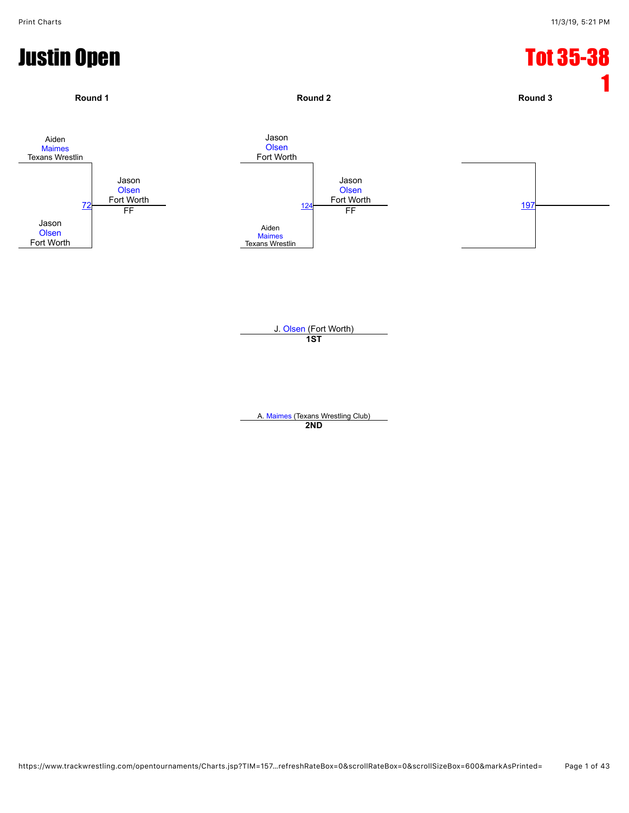

J. [Olsen](javascript:viewProfile(66402135)) (Fort Worth) **1ST**

A. [Maimes](javascript:viewProfile(908121132)) (Texans Wrestling Club) **2ND**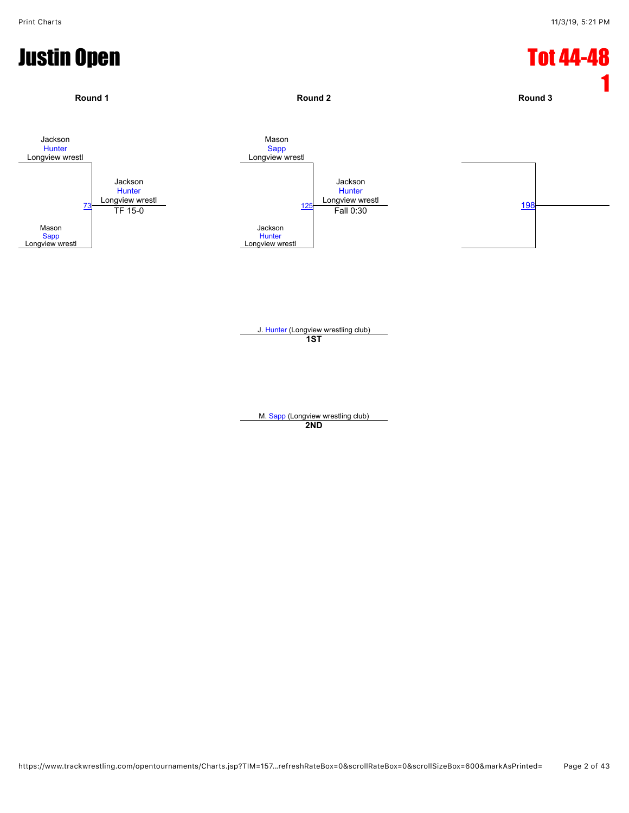

J. [Hunter](javascript:viewProfile(920351132)) (Longview wrestling club) **1ST**

M. [Sapp](javascript:viewProfile(48640135)) (Longview wrestling club) **2ND**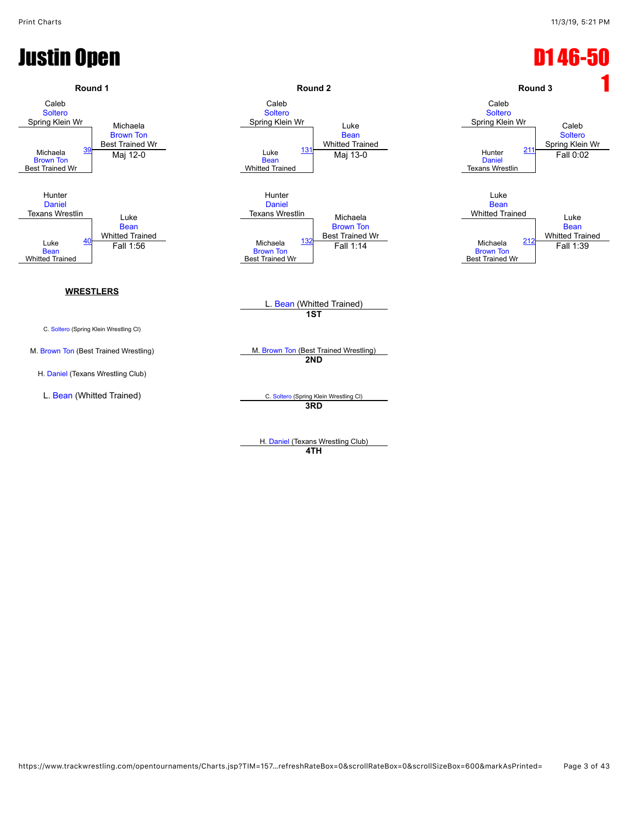# Justin Open D1 46-50



H. [Daniel](javascript:viewProfile(64696135)) (Texans Wrestling Club) **4TH**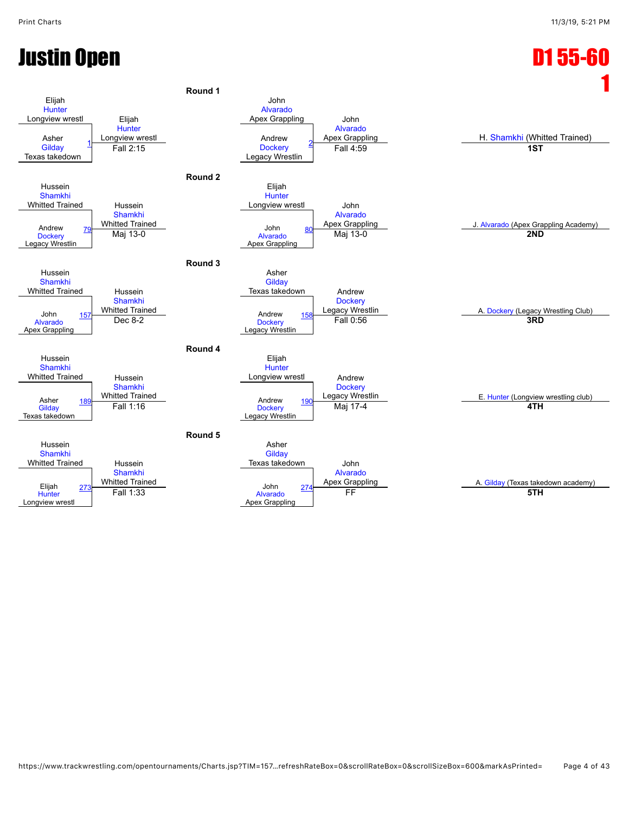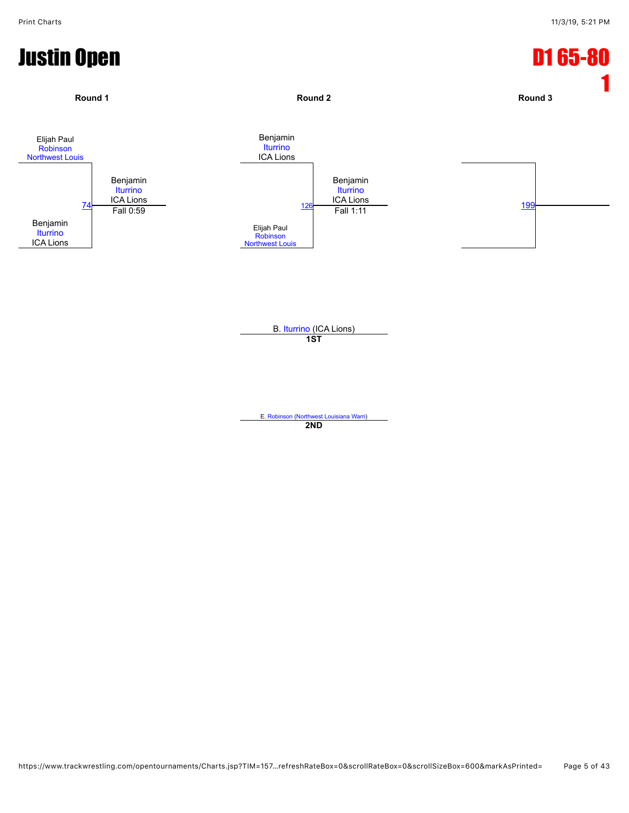

E. [Robinson](javascript:viewProfile(316204132)) [\(Northwest Louisiana Warri\)](javascript:viewClub(225071)) **2ND**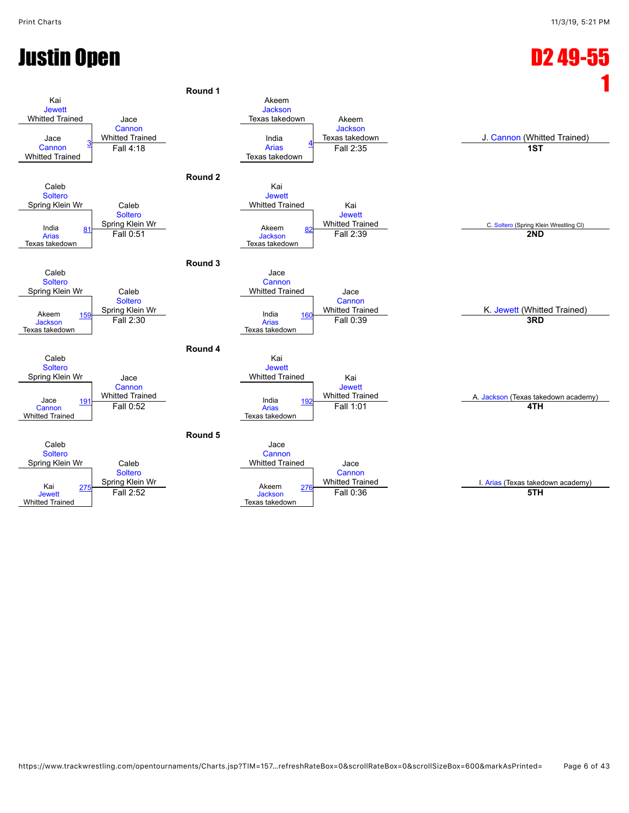## Justin Open D2 49-55

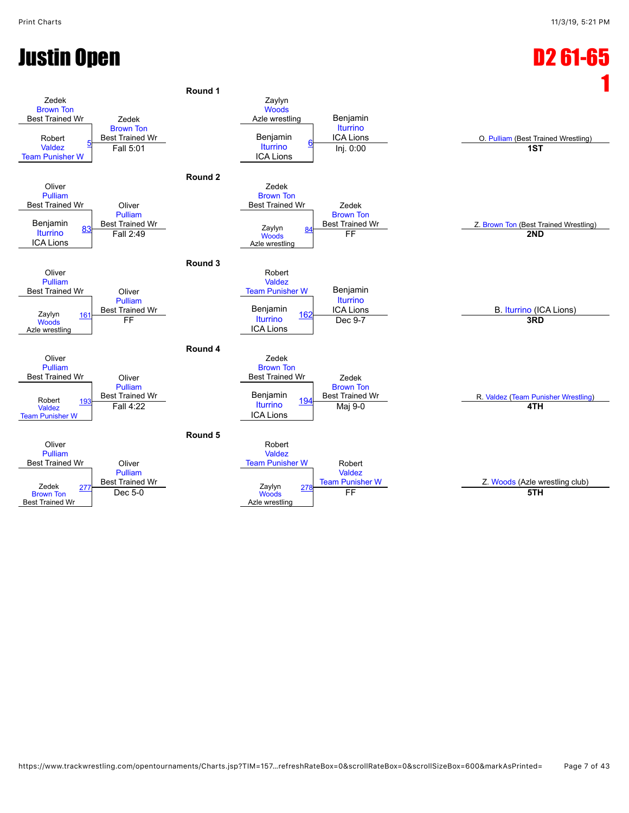### Justin Open D2 61-65

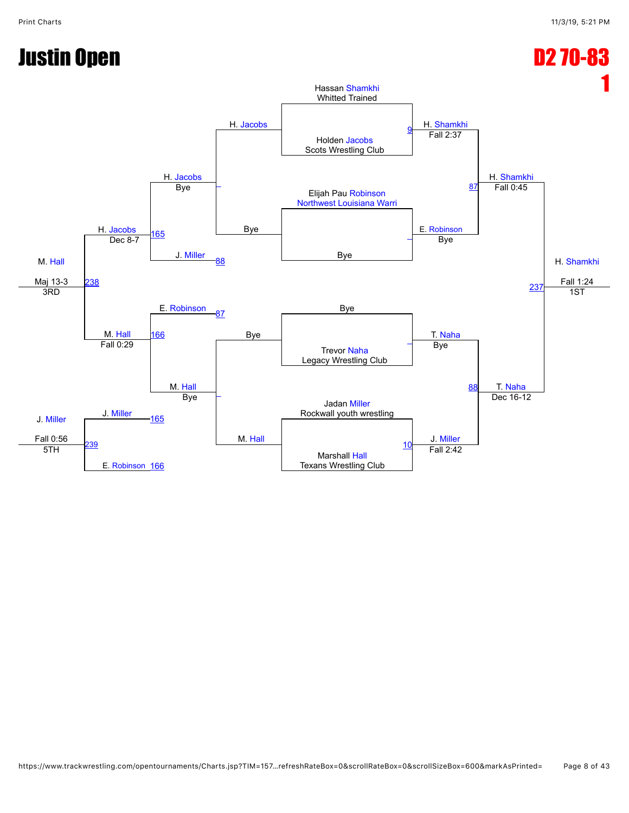## Justin Open D2 70-83

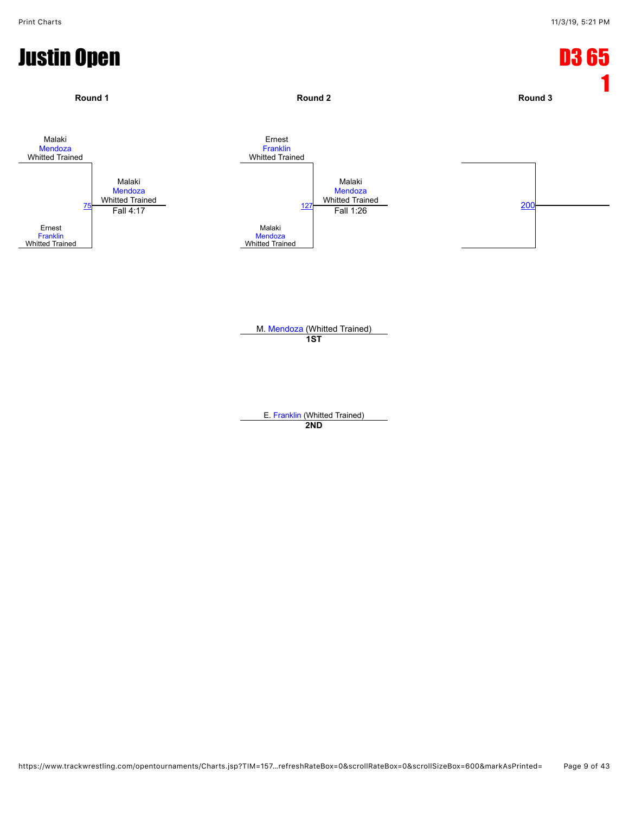

E. [Franklin](javascript:viewProfile(1230513096)) (Whitted Trained) **2ND**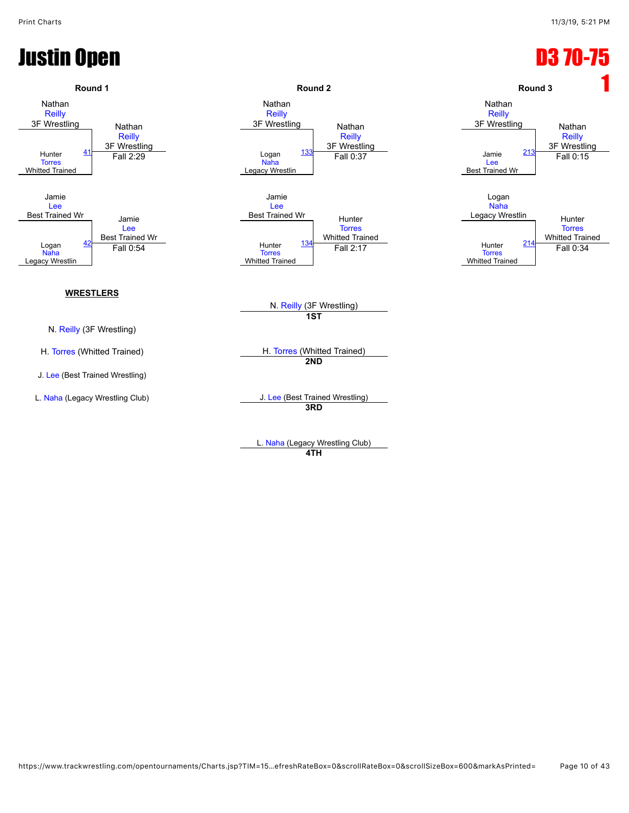## **Justin Open D3 70-75**



**4TH**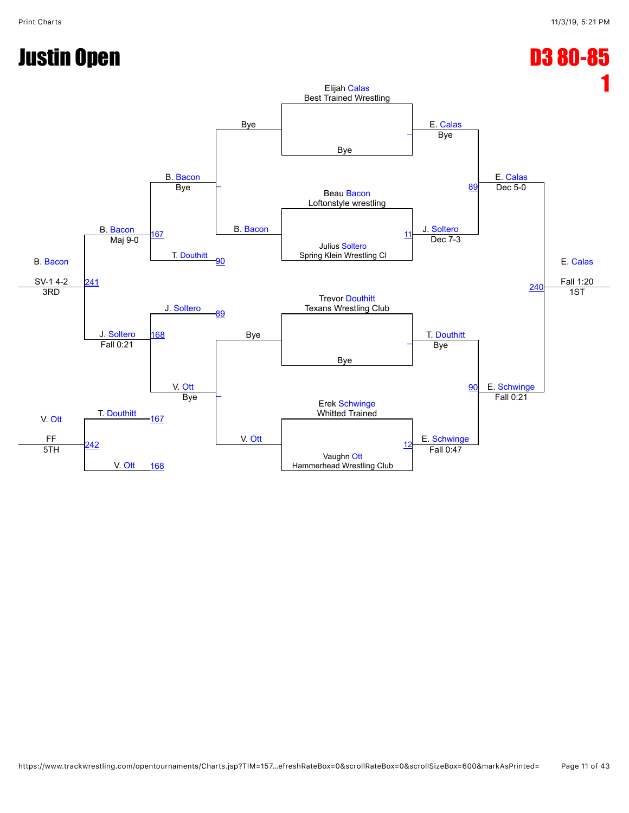## Justin Open D3 80-85

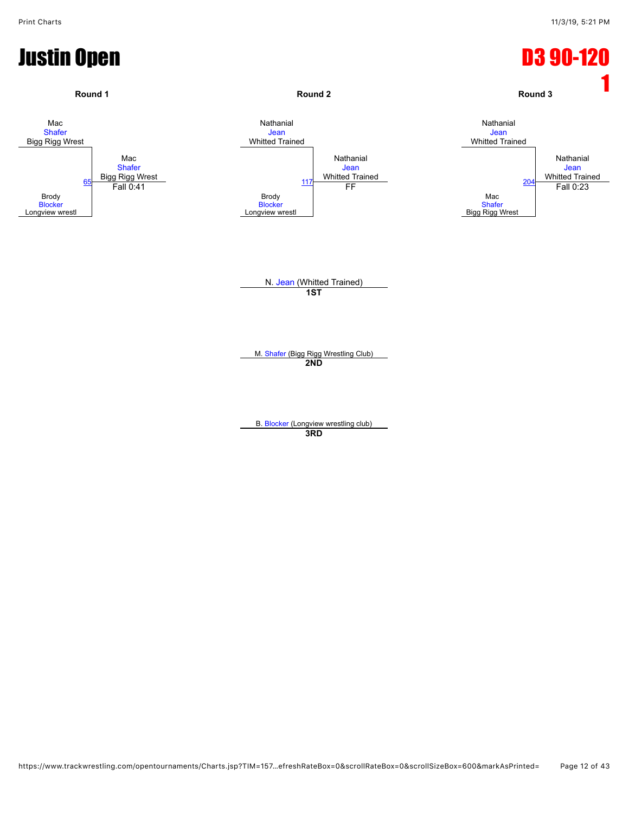

**3RD**

https://www.trackwrestling.com/opentournaments/Charts.jsp?TIM=157…efreshRateBox=0&scrollRateBox=0&scrollSizeBox=600&markAsPrinted= Page 12 of 43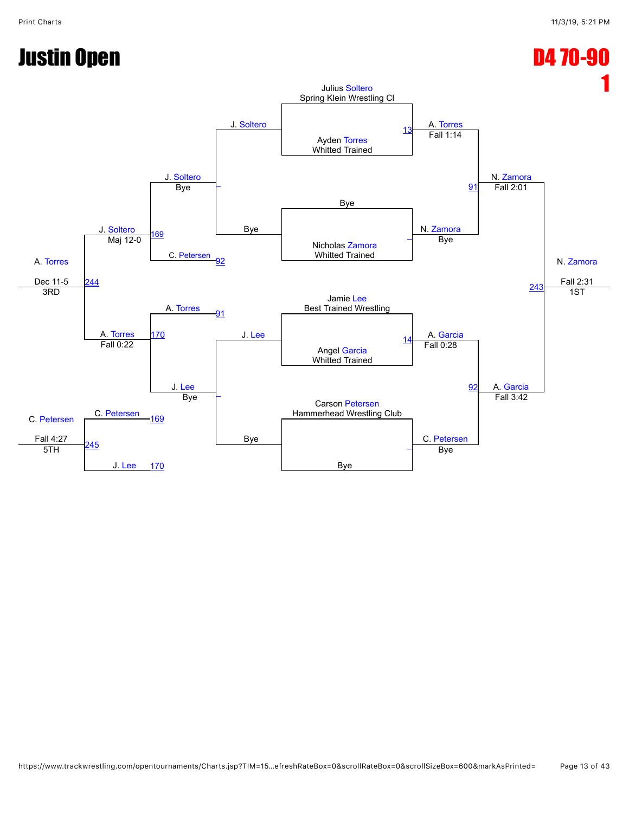## Justin Open D4 70-90

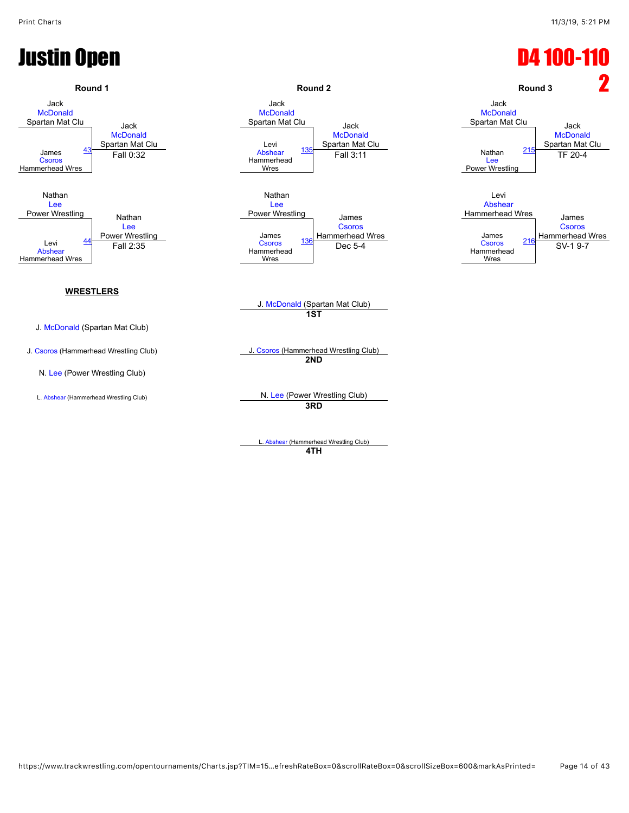## Justin Open D4 100-110



**4TH**

https://www.trackwrestling.com/opentournaments/Charts.jsp?TIM=15…efreshRateBox=0&scrollRateBox=0&scrollSizeBox=600&markAsPrinted= Page 14 of 43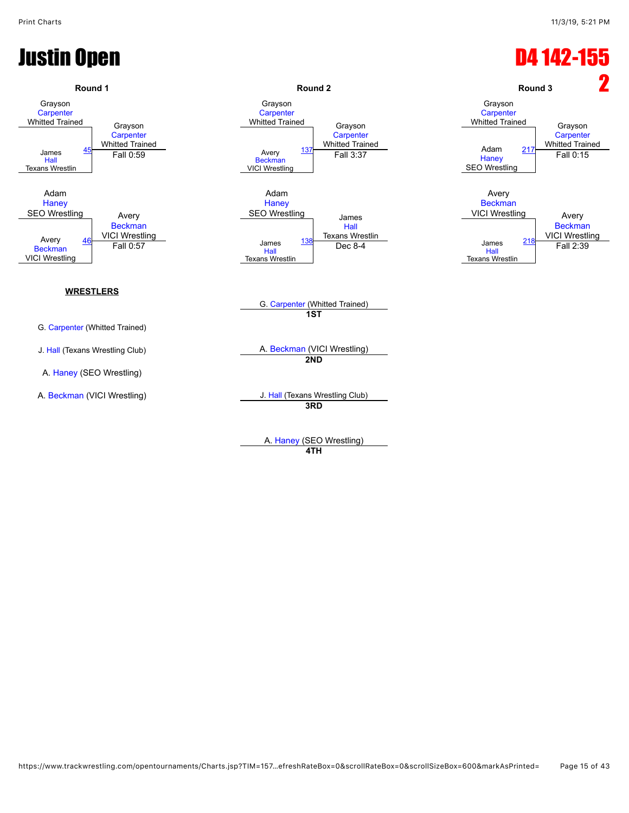### Justin Open D4 142-155 **Round 1 Round 2 Round 3** 2 Grayson **[Carpenter](javascript:viewProfile(1771041009))** Whitted Trained Grayson **[Carpenter](javascript:viewProfile(1771041009))** Whitted Trained Grayson **[Carpenter](javascript:viewProfile(1771041009))** Whitted Trained Grayson **[Carpenter](javascript:viewProfile(1771041009))** Whitted Trained Grayson **[Carpenter](javascript:viewProfile(1771041009))** Whitted Trained Grayson **[Carpenter](javascript:viewProfile(1771041009))** Whitted Trained James [Hall](javascript:viewProfile(1536306096)) Texans Wrestlin  $\frac{45}{2}$  $\frac{45}{2}$  $\frac{45}{2}$  Fall 0:59 Avery<br>[Beckman](javascript:viewProfile(1490156009)) VICI Wrestling [137](javascript:openBoutSheet(3,) William Tallieu [Haney](javascript:viewProfile(906003096)) SEO Wrestling <u>Rich Haney Tall 0:59</u> Fall 0:15<br>Fall 0:59 **Fall 3:37** Fall 3:37 **Fall [217](javascript:openBoutSheet(5,)** Fall 0:15 Adam **[Haney](javascript:viewProfile(906003096))** SEO Wrestling Avery **[Beckman](javascript:viewProfile(1490156009))** VICI Wrestling Adam **[Haney](javascript:viewProfile(906003096))** SEO Wrestling James [Hall](javascript:viewProfile(1536306096)) Texans Wrestlin Avery **[Beckman](javascript:viewProfile(1490156009))** VICI Wrestling Avery [Beckman](javascript:viewProfile(1490156009))<br>VICI Wrestling Avery 46 VICI Wrestling and the same and the series of the series of the series of the series and the series of the series of the series of the series of the series of the series of the series of the series of the series o **[Beckman](javascript:viewProfile(1490156009))** VICI Wrestling [46](javascript:openBoutSheet(2,) VICT WESTING [Hall](javascript:viewProfile(1536306096)) Texans Wrestlin [138](javascript:openBoutSheet(4,) **IEXANS WESTING**<br>Dec 8-4 James [Hall](javascript:viewProfile(1536306096)) Texans Wrestlin <u>[218](javascript:openBoutSheet(6,) Fall 0:57</u> **Exercise 2218 Dec 8-4 Dec 8-4 Dec 8-4 Dec 8-4 Dec 8-4 Dec 8-4 Dec 8-4 Pall 2:39** G. [Carpenter](javascript:viewProfile(1771041009)) (Whitted Trained) **WRESTLERS** G. [Carpenter](javascript:viewProfile(1771041009)) (Whitted Trained) **1ST** J. [Hall](javascript:viewProfile(1536306096)) (Texans Wrestling Club) A. [Beckman](javascript:viewProfile(1490156009)) (VICI Wrestling) A. [Haney](javascript:viewProfile(906003096)) (SEO Wrestling) **2ND** A. [Beckman](javascript:viewProfile(1490156009)) (VICI Wrestling) Same Controller Muslim J. [Hall](javascript:viewProfile(1536306096)) (Texans Wrestling Club) **3RD**

A. [Haney](javascript:viewProfile(906003096)) (SEO Wrestling) **4TH**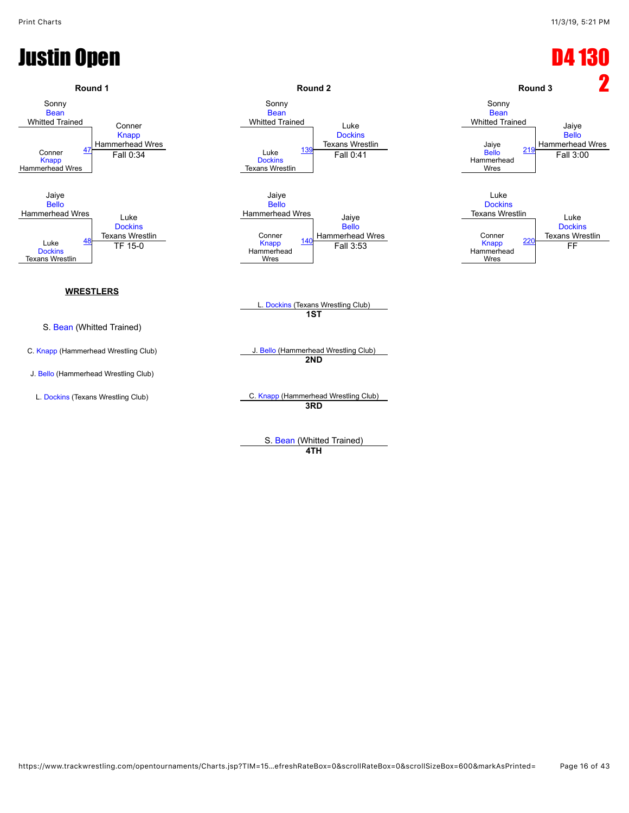## **Justin Open D4 13**

![](_page_15_Figure_3.jpeg)

S. [Bean](javascript:viewProfile(1836731096)) (Whitted Trained)

### **4TH**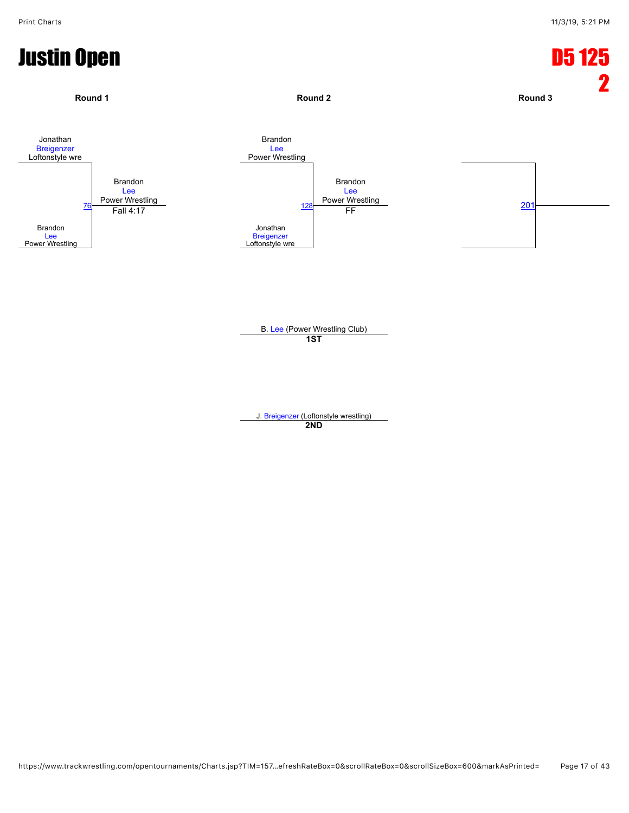![](_page_16_Figure_2.jpeg)

J. [Breigenzer](javascript:viewProfile(908599132)) (Loftonstyle wrestling) **2ND**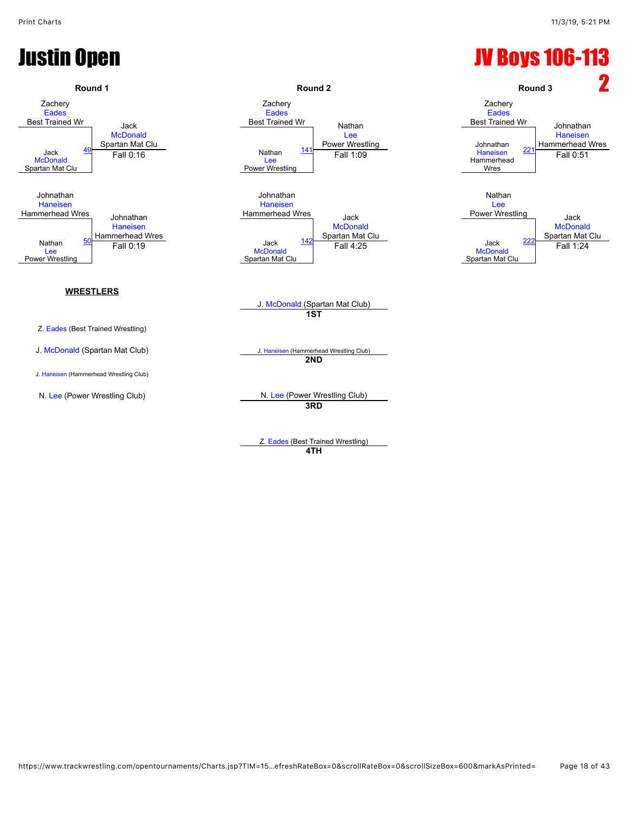## Justin Open JV Boys 106-113

![](_page_17_Figure_3.jpeg)

**4TH**

https://www.trackwrestling.com/opentournaments/Charts.jsp?TIM=15…efreshRateBox=0&scrollRateBox=0&scrollSizeBox=600&markAsPrinted= Page 18 of 43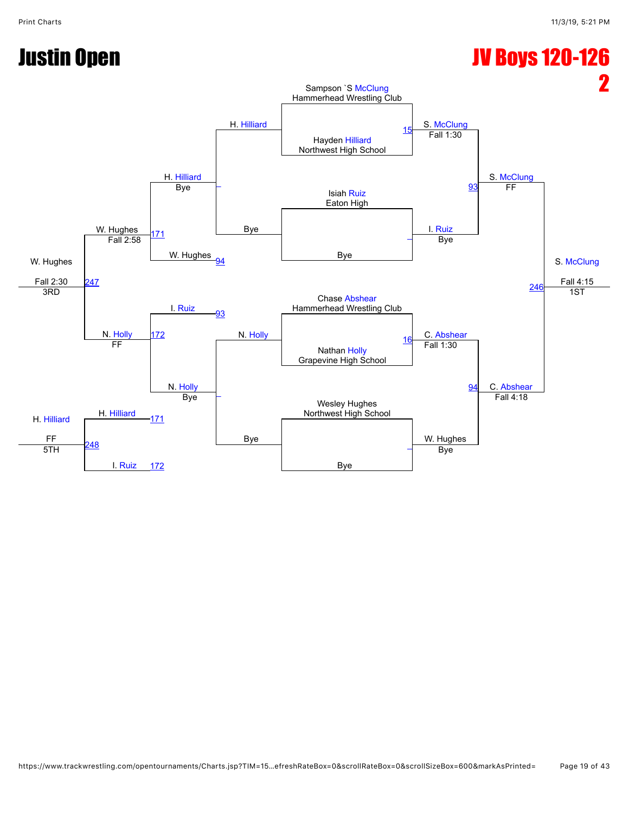## Justin Open JV Boys 120-126

![](_page_18_Figure_4.jpeg)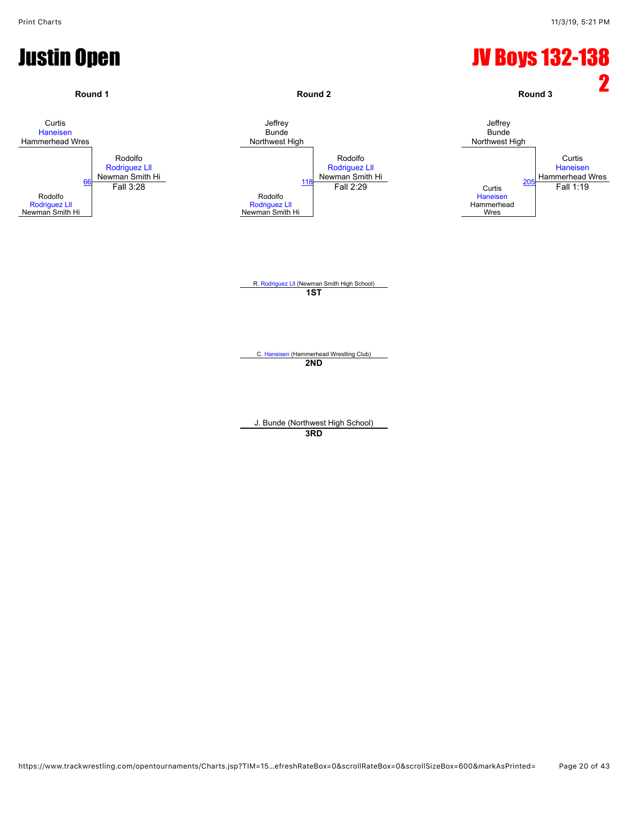![](_page_19_Figure_2.jpeg)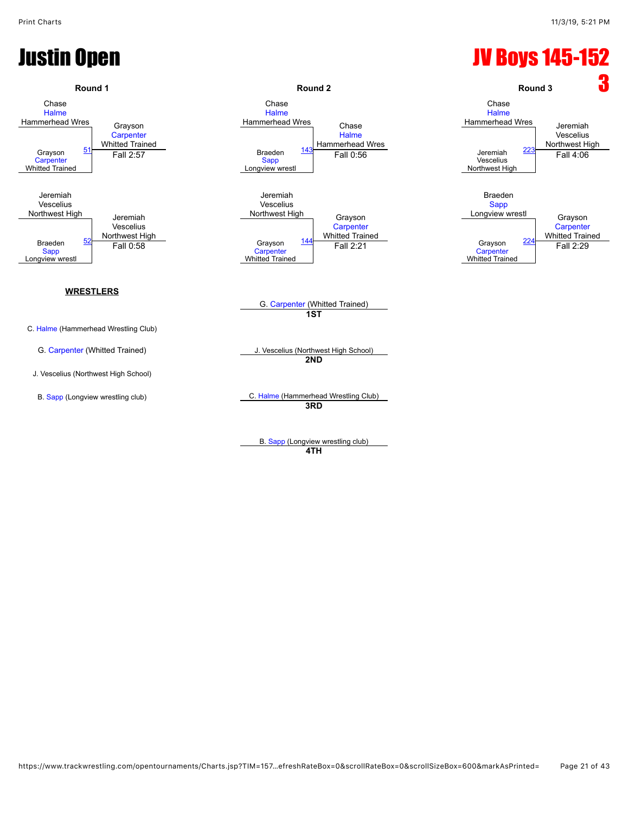## Justin Open JV Boys 145-152

![](_page_20_Figure_3.jpeg)

**4TH**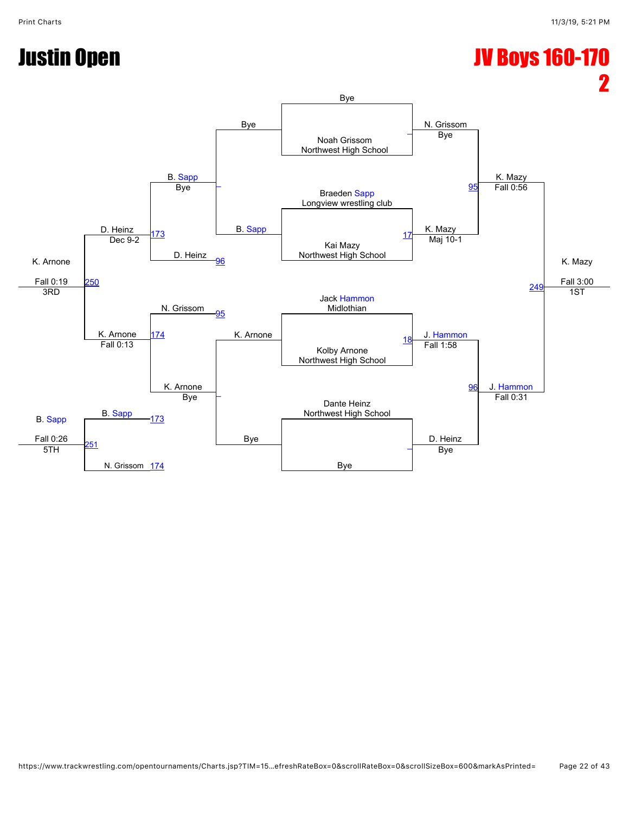### Justin Open JV Boys 160-170

![](_page_21_Figure_3.jpeg)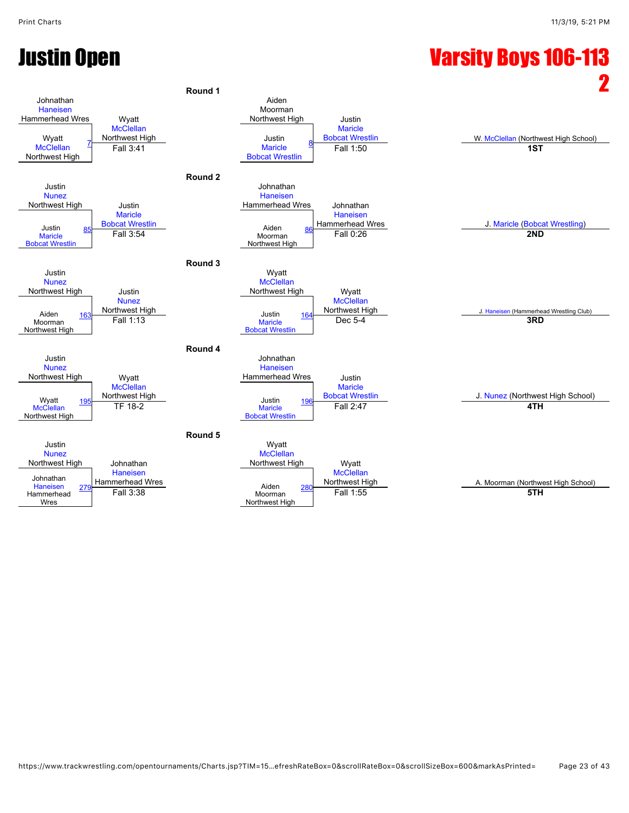## Justin Open Varsity Boys 106-113

![](_page_22_Figure_3.jpeg)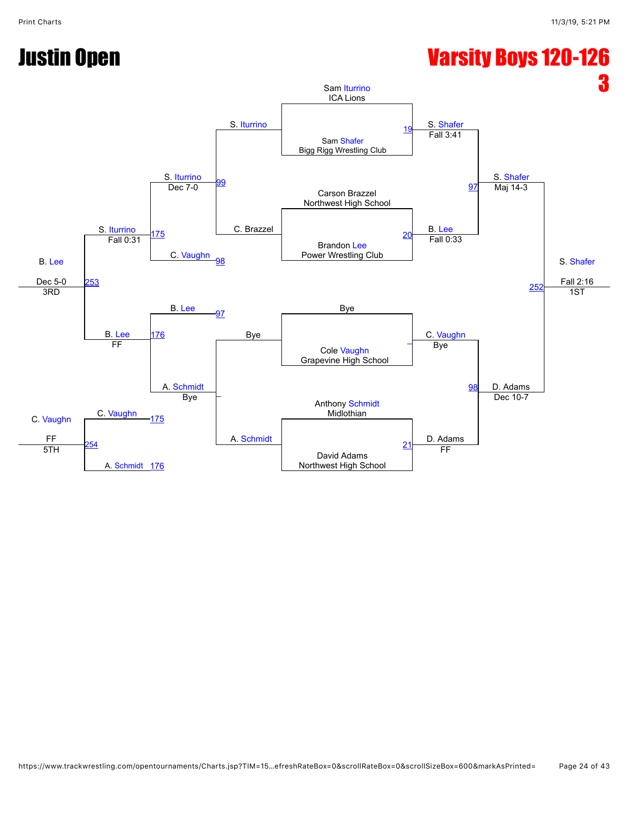## Justin Open Varsity Boys 120-126

![](_page_23_Figure_4.jpeg)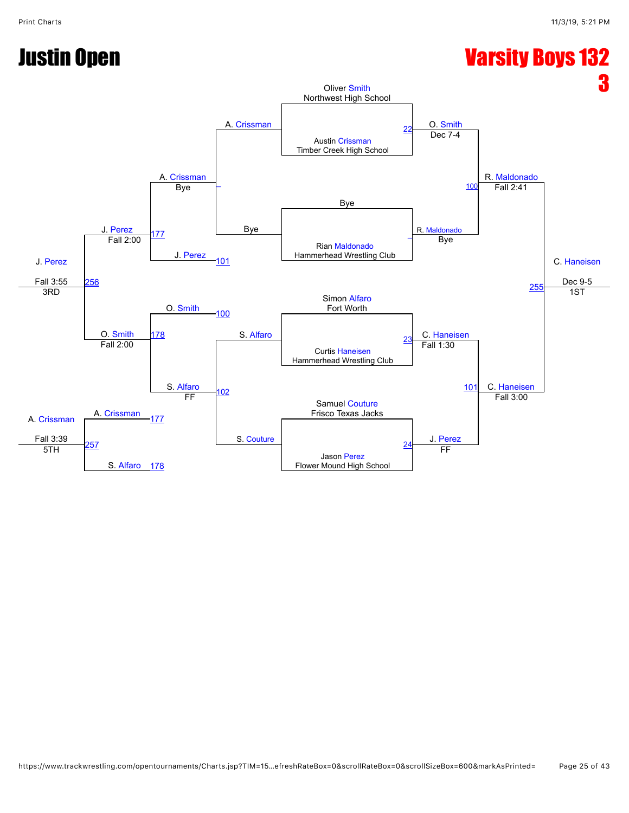![](_page_24_Figure_3.jpeg)

![](_page_24_Figure_4.jpeg)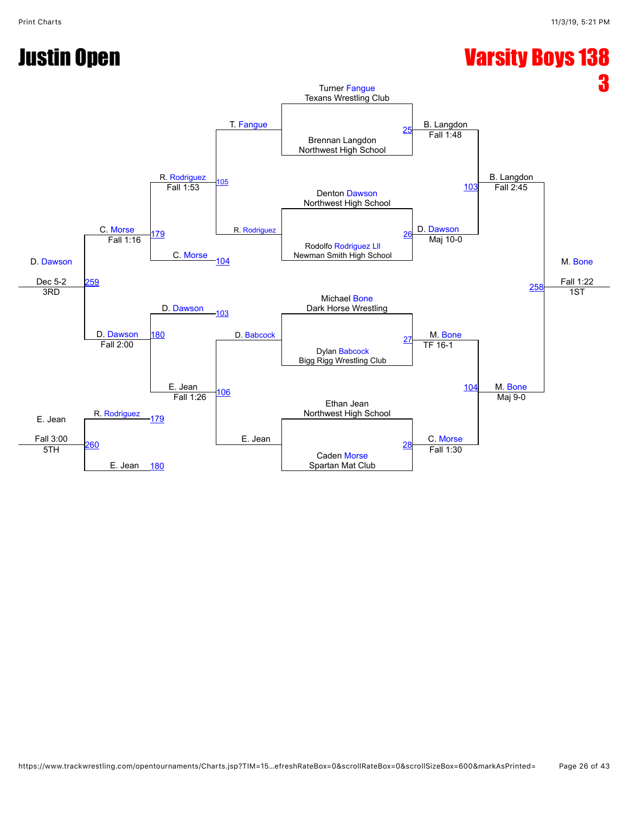## Justin Open Varsity Boys 138

![](_page_25_Figure_4.jpeg)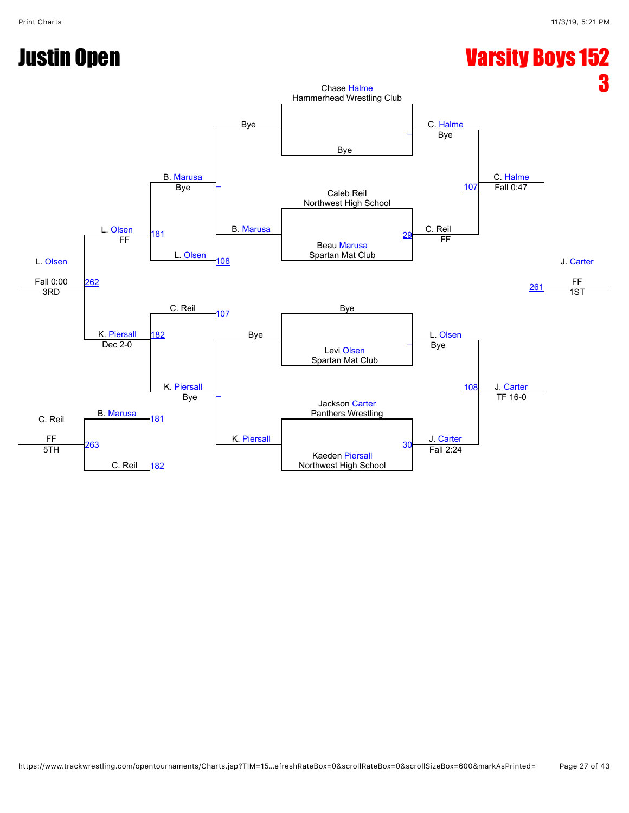![](_page_26_Figure_3.jpeg)

![](_page_26_Figure_4.jpeg)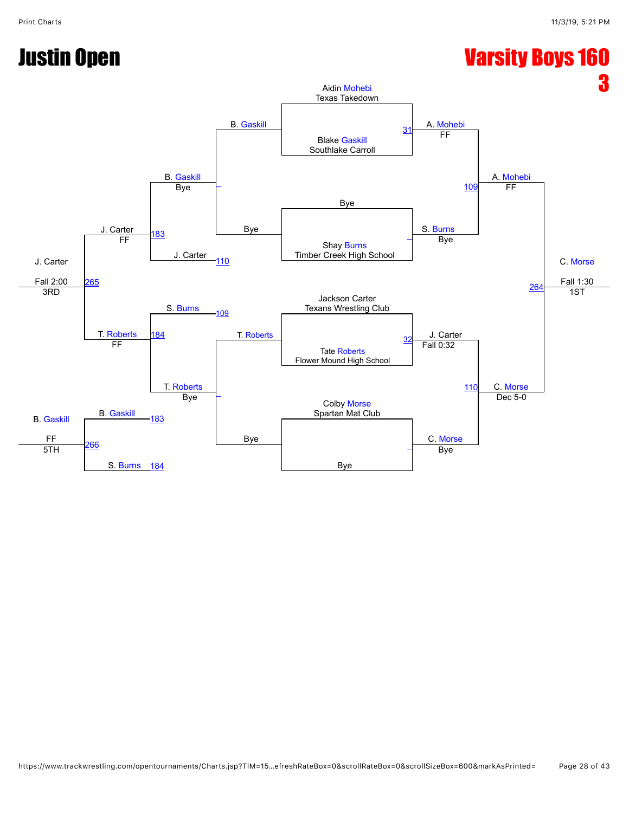## Justin Open Varsity Boys 160

![](_page_27_Figure_4.jpeg)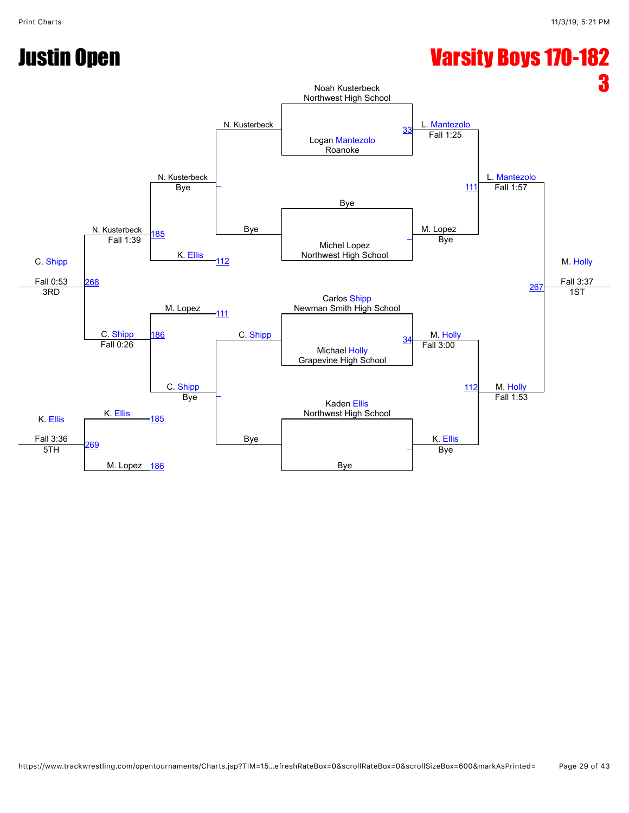## Justin Open Varsity Boys 170-182

![](_page_28_Figure_4.jpeg)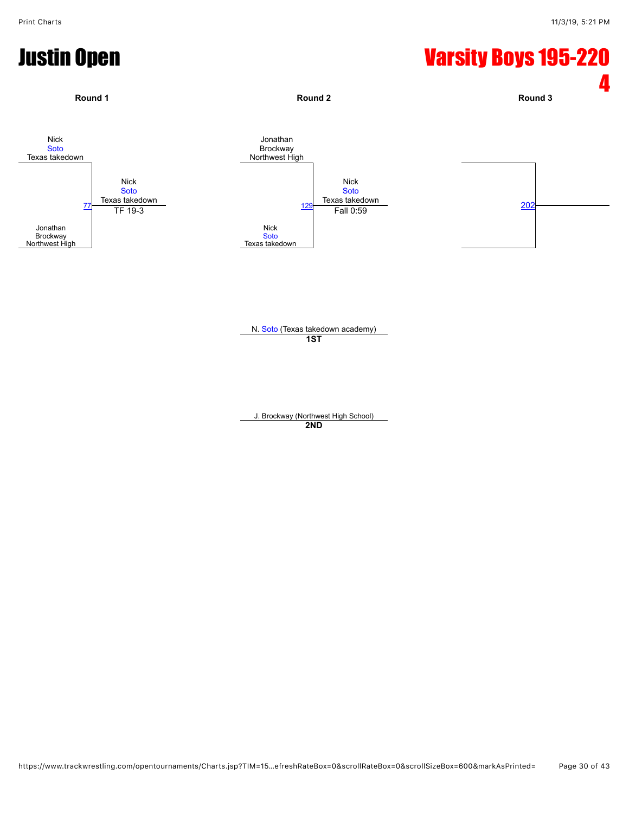## Justin Open Varsity Boys 195-220

![](_page_29_Figure_3.jpeg)

J. Brockway (Northwest High School) **2ND**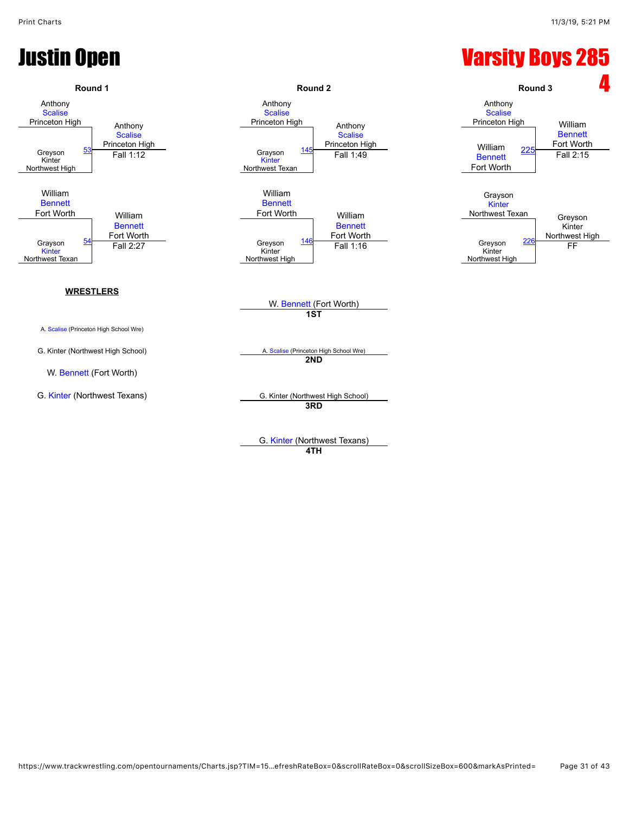### Justin Open Varsity Boys 285

![](_page_30_Figure_3.jpeg)

**4TH**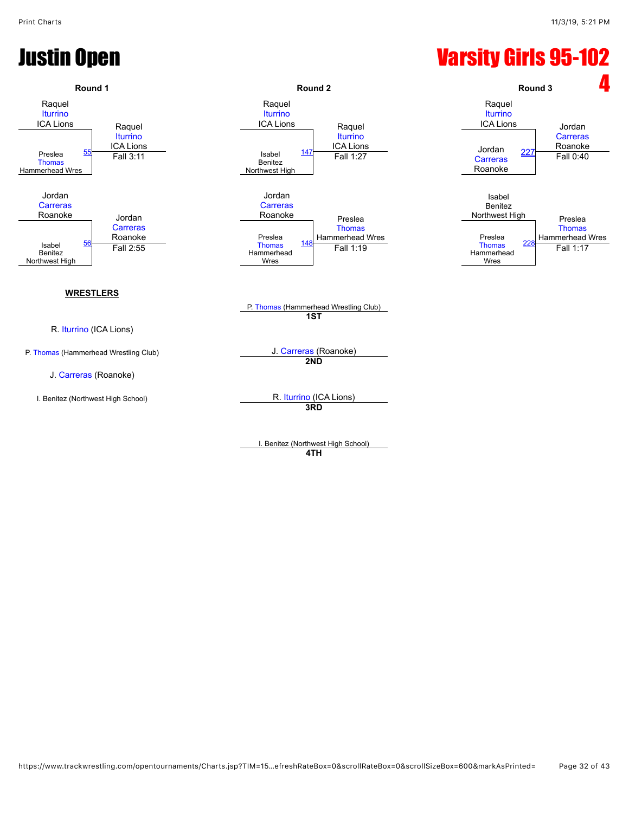### Justin Open Varsity Girls 95-102

![](_page_31_Figure_3.jpeg)

**4TH**

https://www.trackwrestling.com/opentournaments/Charts.jsp?TIM=15…efreshRateBox=0&scrollRateBox=0&scrollSizeBox=600&markAsPrinted= Page 32 of 43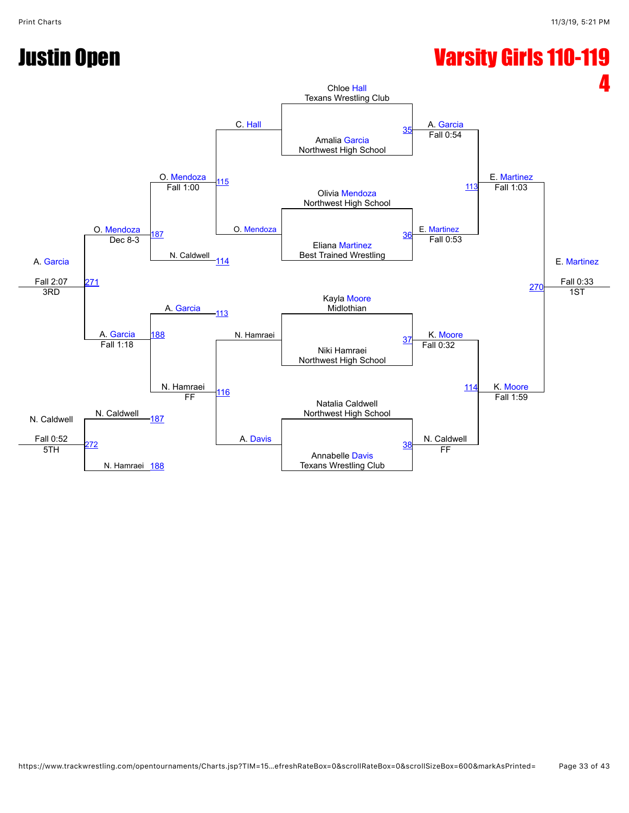## Justin Open Varsity Girls 110-119

![](_page_32_Figure_4.jpeg)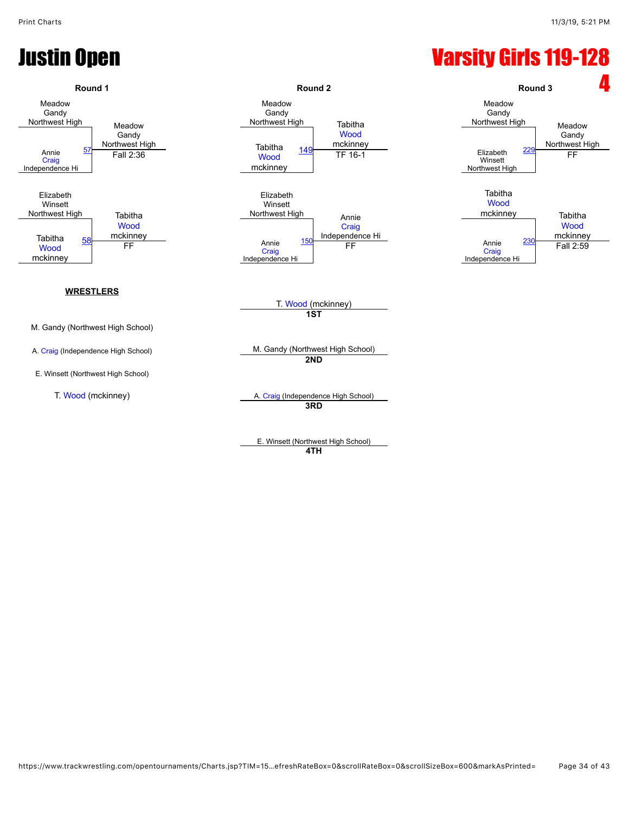## Justin Open Varsity Girls 119-128

![](_page_33_Figure_3.jpeg)

E. Winsett (Northwest High School) **4TH**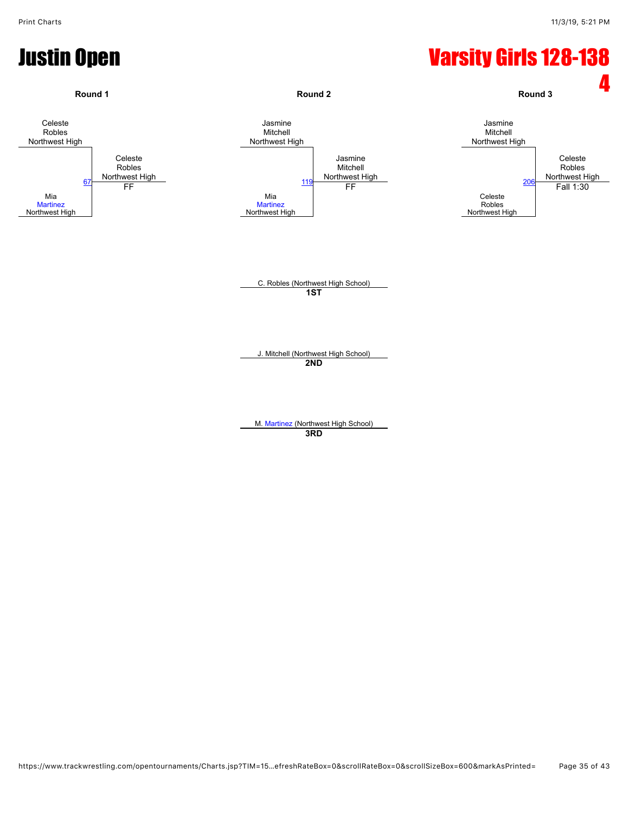## Justin Open Varsity Girls 128-138

![](_page_34_Figure_3.jpeg)

M. [Martinez](javascript:viewProfile(522097132)) (Northwest High School) **3RD**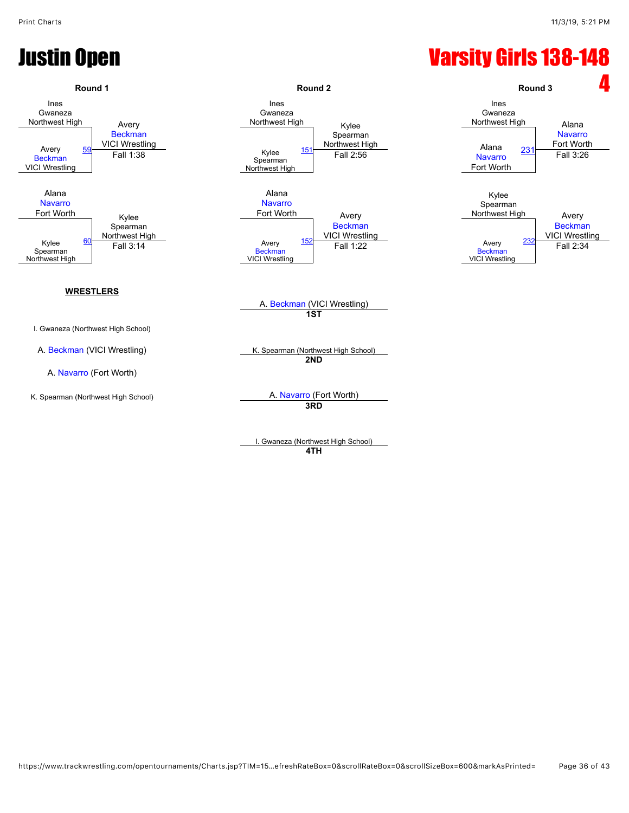### **Justin Open Contract Contract Contract Contract Contract Contract Contract Contract Contract Contract Contract Contract Contract Contract Contract Contract Contract Contract Contract Contract Contract Contract Contract Co**

![](_page_35_Figure_3.jpeg)

I. Gwaneza (Northwest High School) **4TH**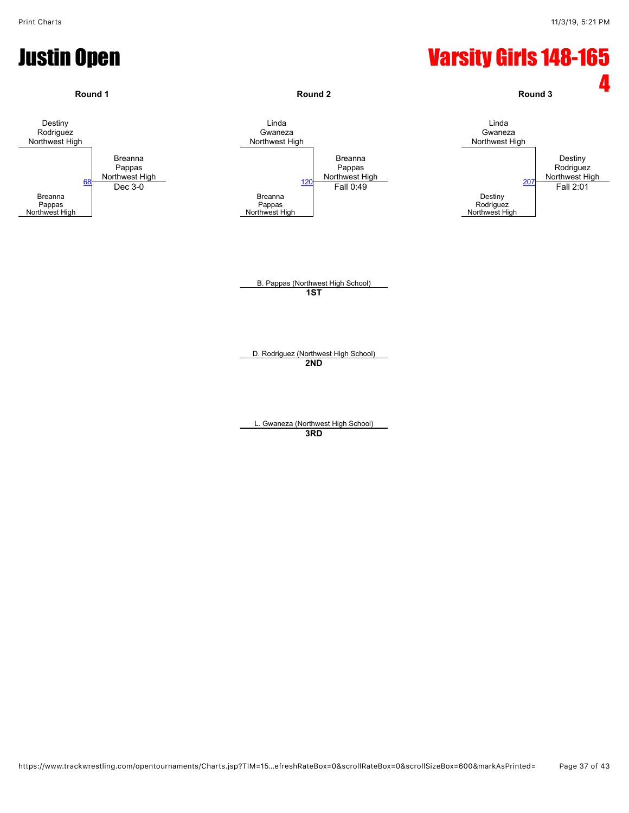## Justin Open Varsity Girls 148-165

![](_page_36_Figure_3.jpeg)

**3RD**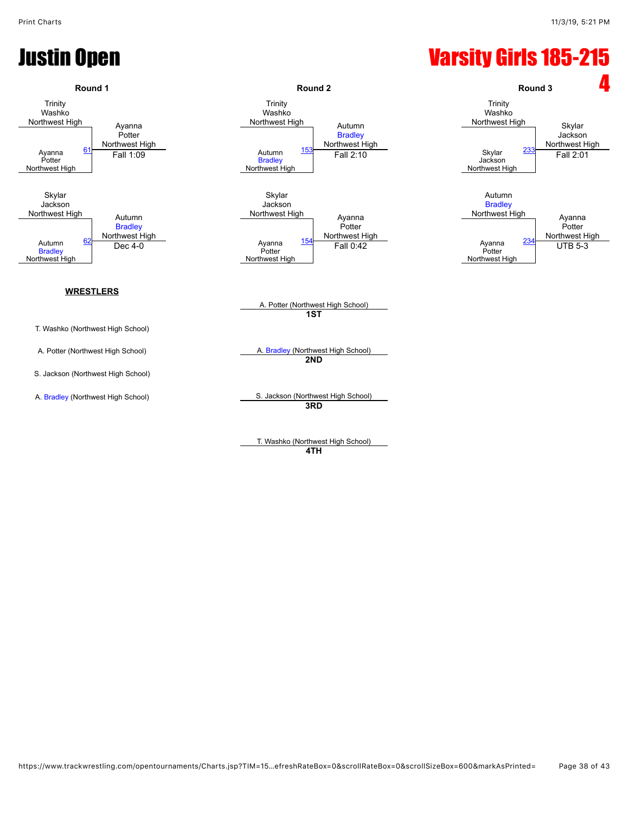### Justin Open Varsity Girls 185-215

![](_page_37_Figure_3.jpeg)

**4TH**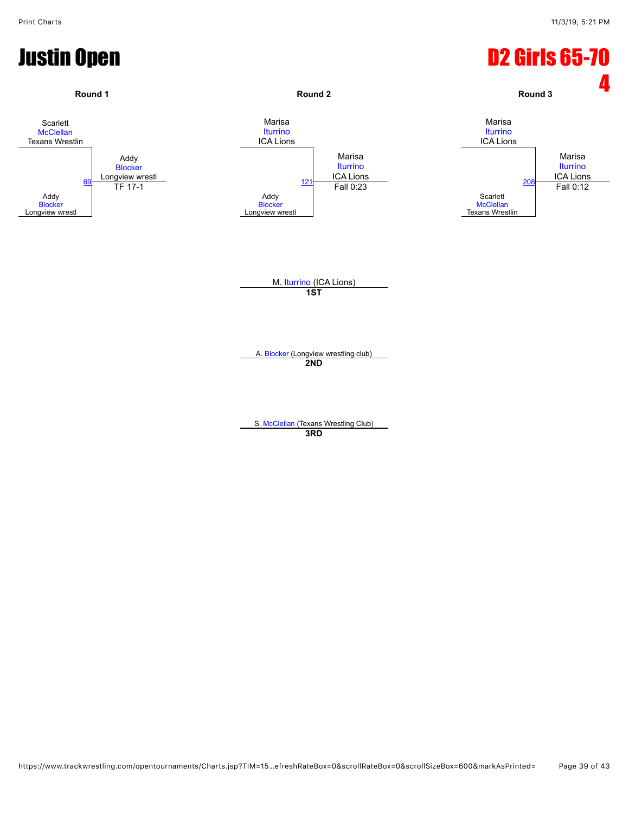![](_page_38_Figure_2.jpeg)

**3RD**

https://www.trackwrestling.com/opentournaments/Charts.jsp?TIM=15…efreshRateBox=0&scrollRateBox=0&scrollSizeBox=600&markAsPrinted= Page 39 of 43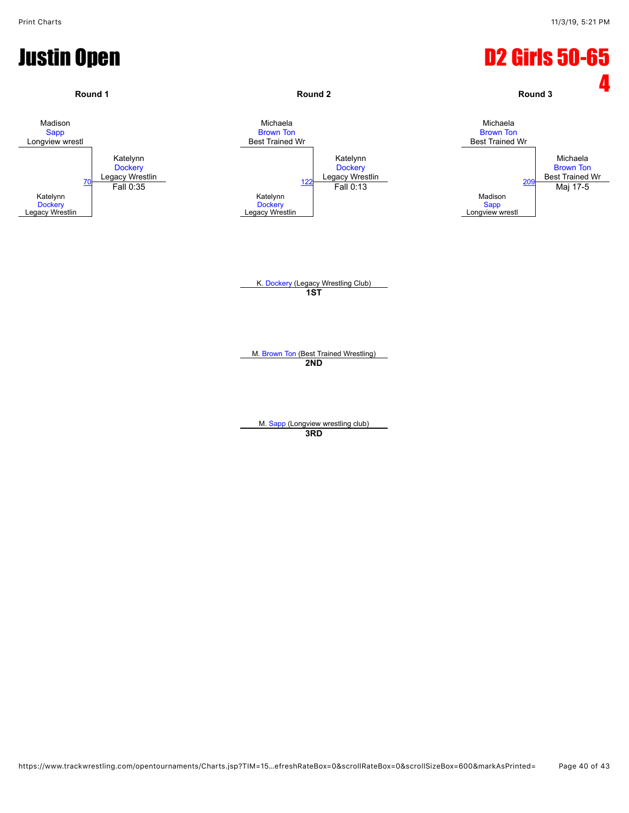![](_page_39_Figure_2.jpeg)

**3RD**

https://www.trackwrestling.com/opentournaments/Charts.jsp?TIM=15…efreshRateBox=0&scrollRateBox=0&scrollSizeBox=600&markAsPrinted= Page 40 of 43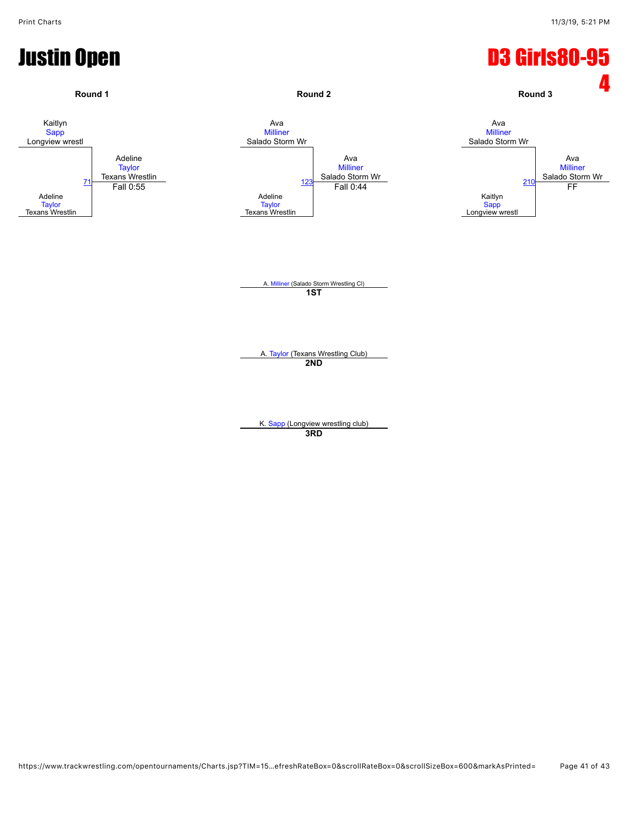![](_page_40_Figure_2.jpeg)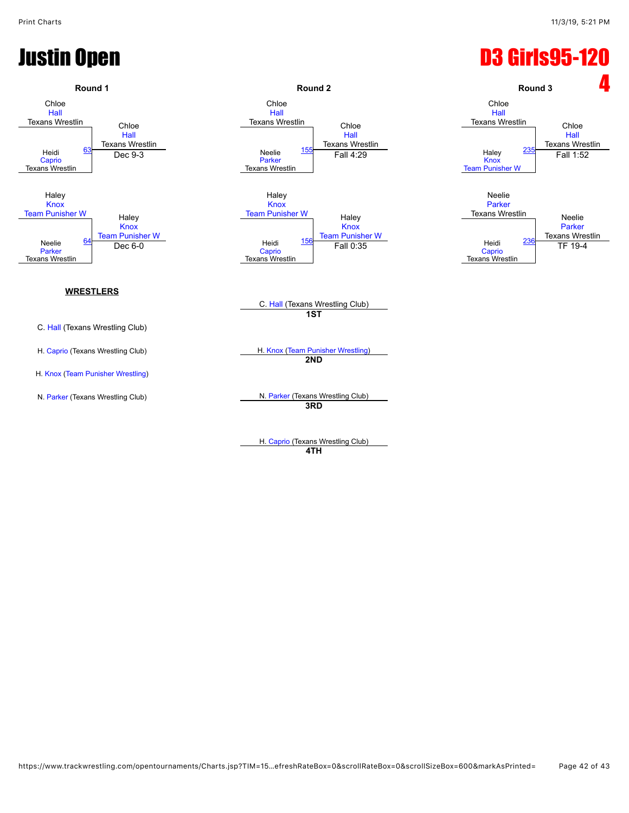## **Justin Open D3 Girls95-120**

![](_page_41_Figure_3.jpeg)

**4TH**